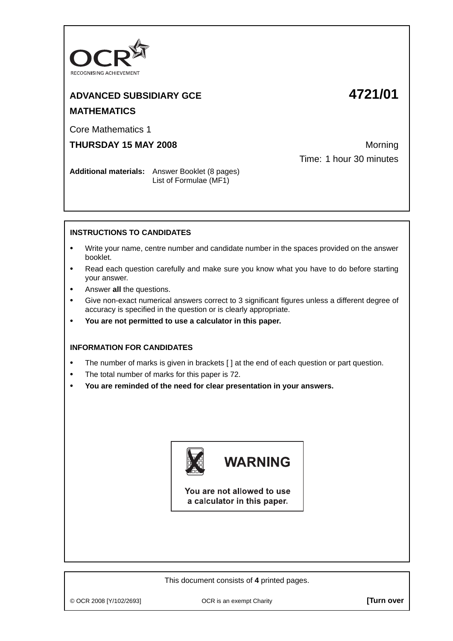

## **ADVANCED SUBSIDIARY GCE 4721/01 MATHEMATICS**

Core Mathematics 1

**THURSDAY 15 MAY 2008** Morning

Time: 1 hour 30 minutes

**Additional materials:** Answer Booklet (8 pages) List of Formulae (MF1)

## **INSTRUCTIONS TO CANDIDATES**

- **•** Write your name, centre number and candidate number in the spaces provided on the answer booklet.
- **•** Read each question carefully and make sure you know what you have to do before starting your answer.
- **•** Answer **all** the questions.
- **•** Give non-exact numerical answers correct to 3 significant figures unless a different degree of accuracy is specified in the question or is clearly appropriate.
- **• You are not permitted to use a calculator in this paper.**

## **INFORMATION FOR CANDIDATES**

- **•** The number of marks is given in brackets [ ] at the end of each question or part question.
- **•** The total number of marks for this paper is 72.
- **• You are reminded of the need for clear presentation in your answers.**



You are not allowed to use a calculator in this paper.

This document consists of **4** printed pages.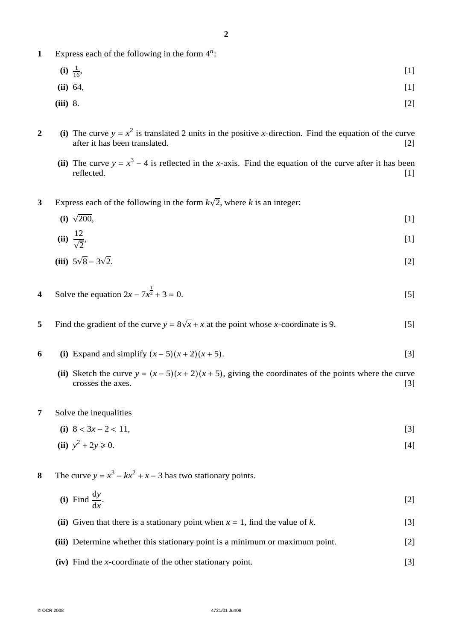- **1** Express each of the following in the form 4*<sup>n</sup>* :
	- $(i)$   $\frac{1}{16}$ ,  $\frac{1}{16}$ , [1]
	- **(ii)** 64, [1]

$$
(iii) 8. \t\t\t [2]
$$

- **2** (i) The curve  $y = x^2$  is translated 2 units in the positive *x*-direction. Find the equation of the curve after it has been translated. [2]
	- (ii) The curve  $y = x^3 4$  is reflected in the *x*-axis. Find the equation of the curve after it has been reflected. [1] reflected. [1]
- **3** Express each of the following in the form  $k\sqrt{2}$ , where *k* is an integer:

(i) 
$$
\sqrt{200}
$$
, [1]

$$
(ii) \frac{12}{\sqrt{2}}, \tag{1}
$$

(iii) 
$$
5\sqrt{8} - 3\sqrt{2}
$$
. [2]

- **4** Solve the equation  $2x 7x^{\frac{1}{2}}$  $\overline{2} + 3 = 0.$  [5]
- 5 Find the gradient of the curve  $y = 8\sqrt{x} + x$  at the point whose *x*-coordinate is 9. [5]
- **6** (i) Expand and simplify  $(x-5)(x+2)(x+5)$ . [3]
	- (ii) Sketch the curve  $y = (x 5)(x + 2)(x + 5)$ , giving the coordinates of the points where the curve crosses the axes. [3] crosses the axes.
- **7** Solve the inequalities

(i) 
$$
8 < 3x - 2 < 11
$$
,  $[3]$ 

(ii) 
$$
y^2 + 2y \ge 0
$$
. [4]

- **8** The curve  $y = x^3 kx^2 + x 3$  has two stationary points.
	- **(i)** Find  $\frac{dy}{dx}$ .  $[2]$
	- **(ii)** Given that there is a stationary point when  $x = 1$ , find the value of  $k$ . [3]
	- **(iii)** Determine whether this stationary point is a minimum or maximum point. [2]
	- **(iv)** Find the *x*-coordinate of the other stationary point. [3]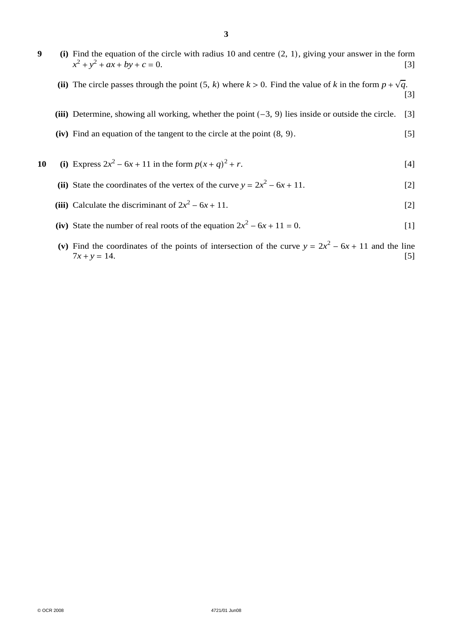- **9 (i)** Find the equation of the circle with radius 10 and centre (2, 1), giving your answer in the form  $x^2 + y^2 + ax + by + c = 0.$  [3]
	- **(ii)** The circle passes through the point  $(5, k)$  where  $k > 0$ . Find the value of  $k$  in the form  $p + \sqrt{q}$ . [3]
	- **(iii)** Determine, showing all working, whether the point (−3, 9) lies inside or outside the circle. [3]
	- **(iv)** Find an equation of the tangent to the circle at the point (8, 9). [5]
- **10** (i) Express  $2x^2 6x + 11$  in the form  $p(x + q)^2 + r$ .  $2 + r$ . [4]
	- (ii) State the coordinates of the vertex of the curve  $y = 2x^2 6x + 11$ . [2]
	- (iii) Calculate the discriminant of  $2x^2 6x + 11$ . [2]
	- (iv) State the number of real roots of the equation  $2x^2 6x + 11 = 0$ . [1]
	- (v) Find the coordinates of the points of intersection of the curve  $y = 2x^2 6x + 11$  and the line  $7x + y = 14$ . [5]  $7x + y = 14.$  [5]